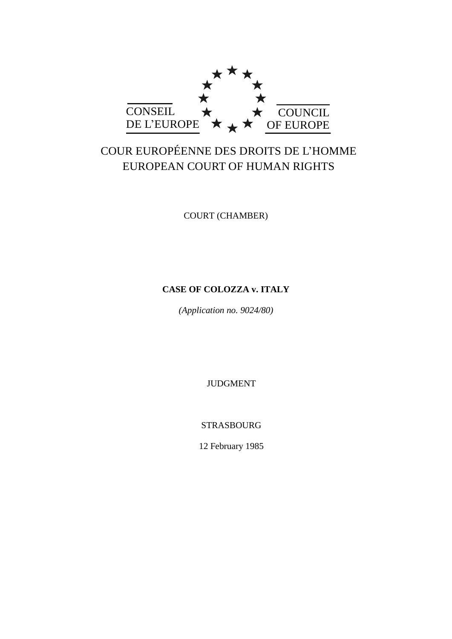

# COUR EUROPÉENNE DES DROITS DE L'HOMME EUROPEAN COURT OF HUMAN RIGHTS

COURT (CHAMBER)

# **CASE OF COLOZZA v. ITALY**

*(Application no. 9024/80)*

JUDGMENT

STRASBOURG

12 February 1985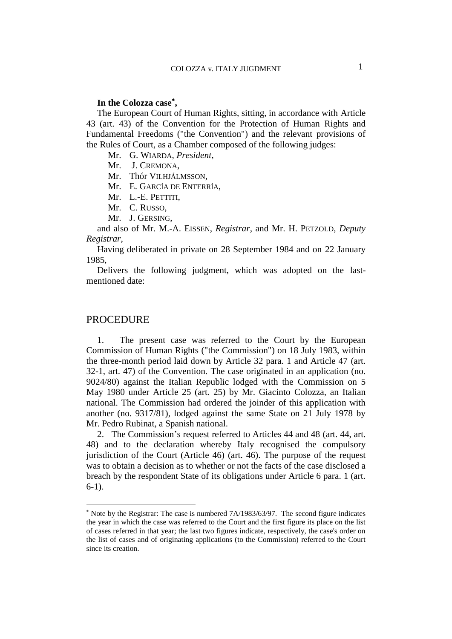# **In the Colozza case ,**

The European Court of Human Rights, sitting, in accordance with Article 43 (art. 43) of the Convention for the Protection of Human Rights and Fundamental Freedoms ("the Convention") and the relevant provisions of the Rules of Court, as a Chamber composed of the following judges:

Mr. G. WIARDA, *President*,

Mr. J. CREMONA,

Mr. Thór VILHJÁLMSSON,

Mr. E. GARCÍA DE ENTERRÍA,

Mr. L.-E. PETTITI,

Mr. C. RUSSO,

Mr. J. GERSING,

and also of Mr. M.-A. EISSEN, *Registrar*, and Mr. H. PETZOLD, *Deputy Registrar*,

Having deliberated in private on 28 September 1984 and on 22 January 1985,

Delivers the following judgment, which was adopted on the lastmentioned date:

### PROCEDURE

 $\overline{a}$ 

1. The present case was referred to the Court by the European Commission of Human Rights ("the Commission") on 18 July 1983, within the three-month period laid down by Article 32 para. 1 and Article 47 (art. 32-1, art. 47) of the Convention. The case originated in an application (no. 9024/80) against the Italian Republic lodged with the Commission on 5 May 1980 under Article 25 (art. 25) by Mr. Giacinto Colozza, an Italian national. The Commission had ordered the joinder of this application with another (no. 9317/81), lodged against the same State on 21 July 1978 by Mr. Pedro Rubinat, a Spanish national.

2. The Commission's request referred to Articles 44 and 48 (art. 44, art. 48) and to the declaration whereby Italy recognised the compulsory jurisdiction of the Court (Article 46) (art. 46). The purpose of the request was to obtain a decision as to whether or not the facts of the case disclosed a breach by the respondent State of its obligations under Article 6 para. 1 (art. 6-1).

 $*$  Note by the Registrar: The case is numbered  $7A/1983/63/97$ . The second figure indicates the year in which the case was referred to the Court and the first figure its place on the list of cases referred in that year; the last two figures indicate, respectively, the case's order on the list of cases and of originating applications (to the Commission) referred to the Court since its creation.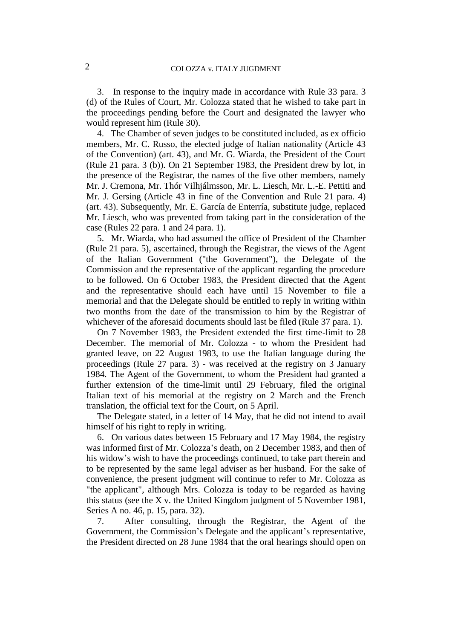3. In response to the inquiry made in accordance with Rule 33 para. 3 (d) of the Rules of Court, Mr. Colozza stated that he wished to take part in the proceedings pending before the Court and designated the lawyer who would represent him (Rule 30).

4. The Chamber of seven judges to be constituted included, as ex officio members, Mr. C. Russo, the elected judge of Italian nationality (Article 43 of the Convention) (art. 43), and Mr. G. Wiarda, the President of the Court (Rule 21 para. 3 (b)). On 21 September 1983, the President drew by lot, in the presence of the Registrar, the names of the five other members, namely Mr. J. Cremona, Mr. Thór Vilhjálmsson, Mr. L. Liesch, Mr. L.-E. Pettiti and Mr. J. Gersing (Article 43 in fine of the Convention and Rule 21 para. 4) (art. 43). Subsequently, Mr. E. García de Enterría, substitute judge, replaced Mr. Liesch, who was prevented from taking part in the consideration of the case (Rules 22 para. 1 and 24 para. 1).

5. Mr. Wiarda, who had assumed the office of President of the Chamber (Rule 21 para. 5), ascertained, through the Registrar, the views of the Agent of the Italian Government ("the Government"), the Delegate of the Commission and the representative of the applicant regarding the procedure to be followed. On 6 October 1983, the President directed that the Agent and the representative should each have until 15 November to file a memorial and that the Delegate should be entitled to reply in writing within two months from the date of the transmission to him by the Registrar of whichever of the aforesaid documents should last be filed (Rule 37 para. 1).

On 7 November 1983, the President extended the first time-limit to 28 December. The memorial of Mr. Colozza - to whom the President had granted leave, on 22 August 1983, to use the Italian language during the proceedings (Rule 27 para. 3) - was received at the registry on 3 January 1984. The Agent of the Government, to whom the President had granted a further extension of the time-limit until 29 February, filed the original Italian text of his memorial at the registry on 2 March and the French translation, the official text for the Court, on 5 April.

The Delegate stated, in a letter of 14 May, that he did not intend to avail himself of his right to reply in writing.

6. On various dates between 15 February and 17 May 1984, the registry was informed first of Mr. Colozza's death, on 2 December 1983, and then of his widow's wish to have the proceedings continued, to take part therein and to be represented by the same legal adviser as her husband. For the sake of convenience, the present judgment will continue to refer to Mr. Colozza as "the applicant", although Mrs. Colozza is today to be regarded as having this status (see the X v. the United Kingdom judgment of 5 November 1981, Series A no. 46, p. 15, para. 32).

7. After consulting, through the Registrar, the Agent of the Government, the Commission's Delegate and the applicant's representative, the President directed on 28 June 1984 that the oral hearings should open on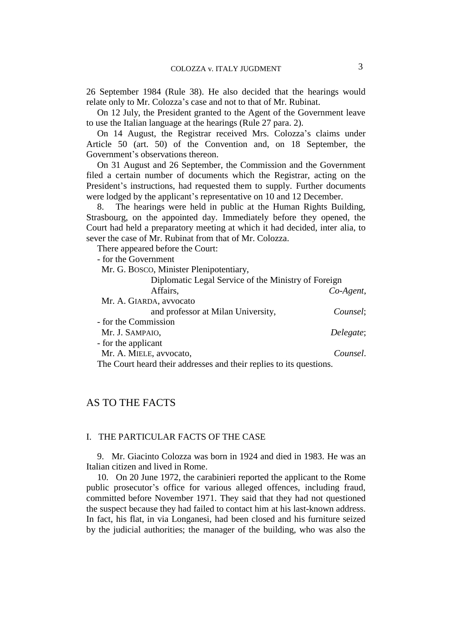26 September 1984 (Rule 38). He also decided that the hearings would relate only to Mr. Colozza's case and not to that of Mr. Rubinat.

On 12 July, the President granted to the Agent of the Government leave to use the Italian language at the hearings (Rule 27 para. 2).

On 14 August, the Registrar received Mrs. Colozza's claims under Article 50 (art. 50) of the Convention and, on 18 September, the Government's observations thereon.

On 31 August and 26 September, the Commission and the Government filed a certain number of documents which the Registrar, acting on the President's instructions, had requested them to supply. Further documents were lodged by the applicant's representative on 10 and 12 December.

8. The hearings were held in public at the Human Rights Building, Strasbourg, on the appointed day. Immediately before they opened, the Court had held a preparatory meeting at which it had decided, inter alia, to sever the case of Mr. Rubinat from that of Mr. Colozza.

There appeared before the Court:

- for the Government Mr. G. BOSCO, Minister Plenipotentiary, Diplomatic Legal Service of the Ministry of Foreign Affairs, *Co-Agent*, Mr. A. GIARDA, avvocato and professor at Milan University, *Counsel*; - for the Commission Mr. J. SAMPAIO, *Delegate*; - for the applicant Mr. A. MIELE, avvocato, *Counsel*. The Court heard their addresses and their replies to its questions.

# AS TO THE FACTS

#### I. THE PARTICULAR FACTS OF THE CASE

9. Mr. Giacinto Colozza was born in 1924 and died in 1983. He was an Italian citizen and lived in Rome.

10. On 20 June 1972, the carabinieri reported the applicant to the Rome public prosecutor's office for various alleged offences, including fraud, committed before November 1971. They said that they had not questioned the suspect because they had failed to contact him at his last-known address. In fact, his flat, in via Longanesi, had been closed and his furniture seized by the judicial authorities; the manager of the building, who was also the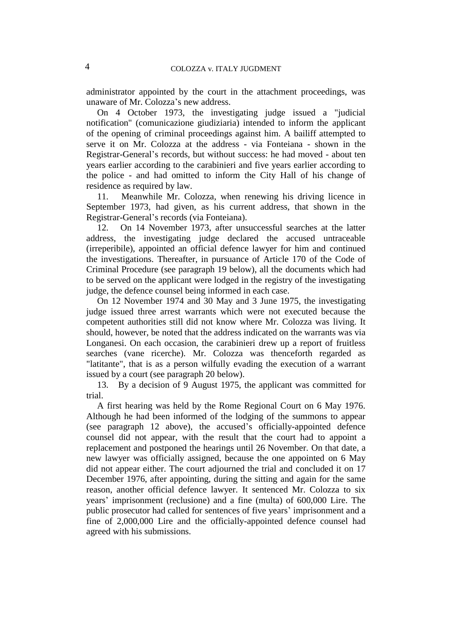administrator appointed by the court in the attachment proceedings, was unaware of Mr. Colozza's new address.

On 4 October 1973, the investigating judge issued a "judicial notification" (comunicazione giudiziaria) intended to inform the applicant of the opening of criminal proceedings against him. A bailiff attempted to serve it on Mr. Colozza at the address - via Fonteiana - shown in the Registrar-General's records, but without success: he had moved - about ten years earlier according to the carabinieri and five years earlier according to the police - and had omitted to inform the City Hall of his change of residence as required by law.

11. Meanwhile Mr. Colozza, when renewing his driving licence in September 1973, had given, as his current address, that shown in the Registrar-General's records (via Fonteiana).

12. On 14 November 1973, after unsuccessful searches at the latter address, the investigating judge declared the accused untraceable (irreperibile), appointed an official defence lawyer for him and continued the investigations. Thereafter, in pursuance of Article 170 of the Code of Criminal Procedure (see paragraph 19 below), all the documents which had to be served on the applicant were lodged in the registry of the investigating judge, the defence counsel being informed in each case.

On 12 November 1974 and 30 May and 3 June 1975, the investigating judge issued three arrest warrants which were not executed because the competent authorities still did not know where Mr. Colozza was living. It should, however, be noted that the address indicated on the warrants was via Longanesi. On each occasion, the carabinieri drew up a report of fruitless searches (vane ricerche). Mr. Colozza was thenceforth regarded as "latitante", that is as a person wilfully evading the execution of a warrant issued by a court (see paragraph 20 below).

13. By a decision of 9 August 1975, the applicant was committed for trial.

A first hearing was held by the Rome Regional Court on 6 May 1976. Although he had been informed of the lodging of the summons to appear (see paragraph 12 above), the accused's officially-appointed defence counsel did not appear, with the result that the court had to appoint a replacement and postponed the hearings until 26 November. On that date, a new lawyer was officially assigned, because the one appointed on 6 May did not appear either. The court adjourned the trial and concluded it on 17 December 1976, after appointing, during the sitting and again for the same reason, another official defence lawyer. It sentenced Mr. Colozza to six years' imprisonment (reclusione) and a fine (multa) of 600,000 Lire. The public prosecutor had called for sentences of five years' imprisonment and a fine of 2,000,000 Lire and the officially-appointed defence counsel had agreed with his submissions.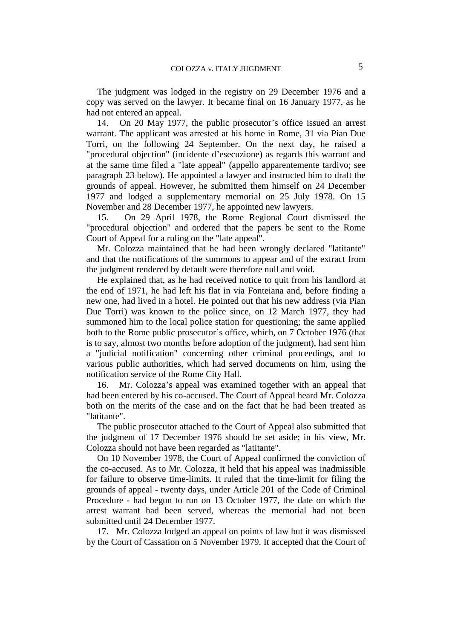The judgment was lodged in the registry on 29 December 1976 and a copy was served on the lawyer. It became final on 16 January 1977, as he had not entered an appeal.

14. On 20 May 1977, the public prosecutor's office issued an arrest warrant. The applicant was arrested at his home in Rome, 31 via Pian Due Torri, on the following 24 September. On the next day, he raised a "procedural objection" (incidente d'esecuzione) as regards this warrant and at the same time filed a "late appeal" (appello apparentemente tardivo; see paragraph 23 below). He appointed a lawyer and instructed him to draft the grounds of appeal. However, he submitted them himself on 24 December 1977 and lodged a supplementary memorial on 25 July 1978. On 15 November and 28 December 1977, he appointed new lawyers.

15. On 29 April 1978, the Rome Regional Court dismissed the "procedural objection" and ordered that the papers be sent to the Rome Court of Appeal for a ruling on the "late appeal".

Mr. Colozza maintained that he had been wrongly declared "latitante" and that the notifications of the summons to appear and of the extract from the judgment rendered by default were therefore null and void.

He explained that, as he had received notice to quit from his landlord at the end of 1971, he had left his flat in via Fonteiana and, before finding a new one, had lived in a hotel. He pointed out that his new address (via Pian Due Torri) was known to the police since, on 12 March 1977, they had summoned him to the local police station for questioning; the same applied both to the Rome public prosecutor's office, which, on 7 October 1976 (that is to say, almost two months before adoption of the judgment), had sent him a "judicial notification" concerning other criminal proceedings, and to various public authorities, which had served documents on him, using the notification service of the Rome City Hall.

16. Mr. Colozza's appeal was examined together with an appeal that had been entered by his co-accused. The Court of Appeal heard Mr. Colozza both on the merits of the case and on the fact that he had been treated as "latitante".

The public prosecutor attached to the Court of Appeal also submitted that the judgment of 17 December 1976 should be set aside; in his view, Mr. Colozza should not have been regarded as "latitante".

On 10 November 1978, the Court of Appeal confirmed the conviction of the co-accused. As to Mr. Colozza, it held that his appeal was inadmissible for failure to observe time-limits. It ruled that the time-limit for filing the grounds of appeal - twenty days, under Article 201 of the Code of Criminal Procedure - had begun to run on 13 October 1977, the date on which the arrest warrant had been served, whereas the memorial had not been submitted until 24 December 1977.

17. Mr. Colozza lodged an appeal on points of law but it was dismissed by the Court of Cassation on 5 November 1979. It accepted that the Court of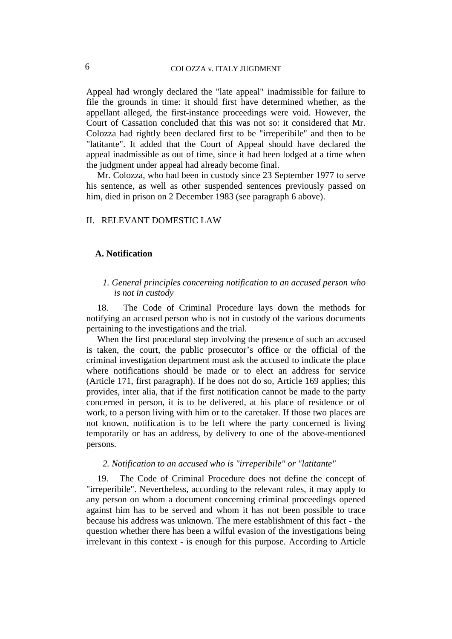## 6 COLOZZA v. ITALY JUGDMENT

Appeal had wrongly declared the "late appeal" inadmissible for failure to file the grounds in time: it should first have determined whether, as the appellant alleged, the first-instance proceedings were void. However, the Court of Cassation concluded that this was not so: it considered that Mr. Colozza had rightly been declared first to be "irreperibile" and then to be "latitante". It added that the Court of Appeal should have declared the appeal inadmissible as out of time, since it had been lodged at a time when the judgment under appeal had already become final.

Mr. Colozza, who had been in custody since 23 September 1977 to serve his sentence, as well as other suspended sentences previously passed on him, died in prison on 2 December 1983 (see paragraph 6 above).

## II. RELEVANT DOMESTIC LAW

#### **A. Notification**

#### *1. General principles concerning notification to an accused person who is not in custody*

18. The Code of Criminal Procedure lays down the methods for notifying an accused person who is not in custody of the various documents pertaining to the investigations and the trial.

When the first procedural step involving the presence of such an accused is taken, the court, the public prosecutor's office or the official of the criminal investigation department must ask the accused to indicate the place where notifications should be made or to elect an address for service (Article 171, first paragraph). If he does not do so, Article 169 applies; this provides, inter alia, that if the first notification cannot be made to the party concerned in person, it is to be delivered, at his place of residence or of work, to a person living with him or to the caretaker. If those two places are not known, notification is to be left where the party concerned is living temporarily or has an address, by delivery to one of the above-mentioned persons.

#### *2. Notification to an accused who is "irreperibile" or "latitante"*

19. The Code of Criminal Procedure does not define the concept of "irreperibile". Nevertheless, according to the relevant rules, it may apply to any person on whom a document concerning criminal proceedings opened against him has to be served and whom it has not been possible to trace because his address was unknown. The mere establishment of this fact - the question whether there has been a wilful evasion of the investigations being irrelevant in this context - is enough for this purpose. According to Article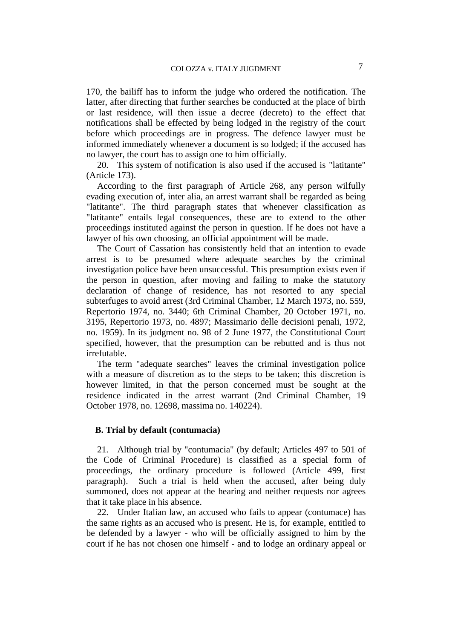170, the bailiff has to inform the judge who ordered the notification. The latter, after directing that further searches be conducted at the place of birth or last residence, will then issue a decree (decreto) to the effect that notifications shall be effected by being lodged in the registry of the court before which proceedings are in progress. The defence lawyer must be informed immediately whenever a document is so lodged; if the accused has no lawyer, the court has to assign one to him officially.

20. This system of notification is also used if the accused is "latitante" (Article 173).

According to the first paragraph of Article 268, any person wilfully evading execution of, inter alia, an arrest warrant shall be regarded as being "latitante". The third paragraph states that whenever classification as "latitante" entails legal consequences, these are to extend to the other proceedings instituted against the person in question. If he does not have a lawyer of his own choosing, an official appointment will be made.

The Court of Cassation has consistently held that an intention to evade arrest is to be presumed where adequate searches by the criminal investigation police have been unsuccessful. This presumption exists even if the person in question, after moving and failing to make the statutory declaration of change of residence, has not resorted to any special subterfuges to avoid arrest (3rd Criminal Chamber, 12 March 1973, no. 559, Repertorio 1974, no. 3440; 6th Criminal Chamber, 20 October 1971, no. 3195, Repertorio 1973, no. 4897; Massimario delle decisioni penali, 1972, no. 1959). In its judgment no. 98 of 2 June 1977, the Constitutional Court specified, however, that the presumption can be rebutted and is thus not irrefutable.

The term "adequate searches" leaves the criminal investigation police with a measure of discretion as to the steps to be taken; this discretion is however limited, in that the person concerned must be sought at the residence indicated in the arrest warrant (2nd Criminal Chamber, 19 October 1978, no. 12698, massima no. 140224).

#### **B. Trial by default (contumacia)**

21. Although trial by "contumacia" (by default; Articles 497 to 501 of the Code of Criminal Procedure) is classified as a special form of proceedings, the ordinary procedure is followed (Article 499, first paragraph). Such a trial is held when the accused, after being duly summoned, does not appear at the hearing and neither requests nor agrees that it take place in his absence.

22. Under Italian law, an accused who fails to appear (contumace) has the same rights as an accused who is present. He is, for example, entitled to be defended by a lawyer - who will be officially assigned to him by the court if he has not chosen one himself - and to lodge an ordinary appeal or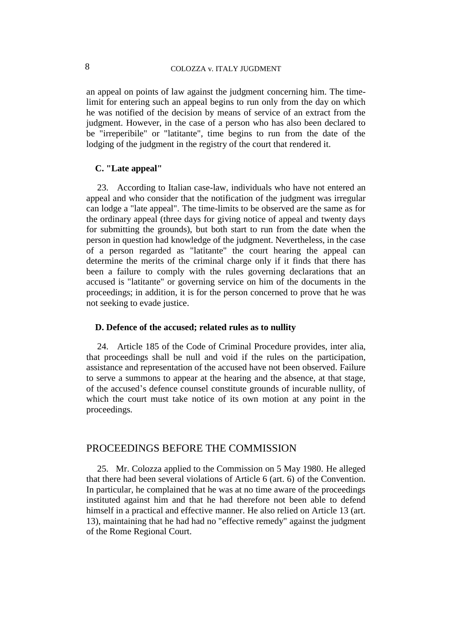an appeal on points of law against the judgment concerning him. The timelimit for entering such an appeal begins to run only from the day on which he was notified of the decision by means of service of an extract from the judgment. However, in the case of a person who has also been declared to be "irreperibile" or "latitante", time begins to run from the date of the lodging of the judgment in the registry of the court that rendered it.

#### **C. "Late appeal"**

23. According to Italian case-law, individuals who have not entered an appeal and who consider that the notification of the judgment was irregular can lodge a "late appeal". The time-limits to be observed are the same as for the ordinary appeal (three days for giving notice of appeal and twenty days for submitting the grounds), but both start to run from the date when the person in question had knowledge of the judgment. Nevertheless, in the case of a person regarded as "latitante" the court hearing the appeal can determine the merits of the criminal charge only if it finds that there has been a failure to comply with the rules governing declarations that an accused is "latitante" or governing service on him of the documents in the proceedings; in addition, it is for the person concerned to prove that he was not seeking to evade justice.

#### **D. Defence of the accused; related rules as to nullity**

24. Article 185 of the Code of Criminal Procedure provides, inter alia, that proceedings shall be null and void if the rules on the participation, assistance and representation of the accused have not been observed. Failure to serve a summons to appear at the hearing and the absence, at that stage, of the accused's defence counsel constitute grounds of incurable nullity, of which the court must take notice of its own motion at any point in the proceedings.

## PROCEEDINGS BEFORE THE COMMISSION

25. Mr. Colozza applied to the Commission on 5 May 1980. He alleged that there had been several violations of Article 6 (art. 6) of the Convention. In particular, he complained that he was at no time aware of the proceedings instituted against him and that he had therefore not been able to defend himself in a practical and effective manner. He also relied on Article 13 (art. 13), maintaining that he had had no "effective remedy" against the judgment of the Rome Regional Court.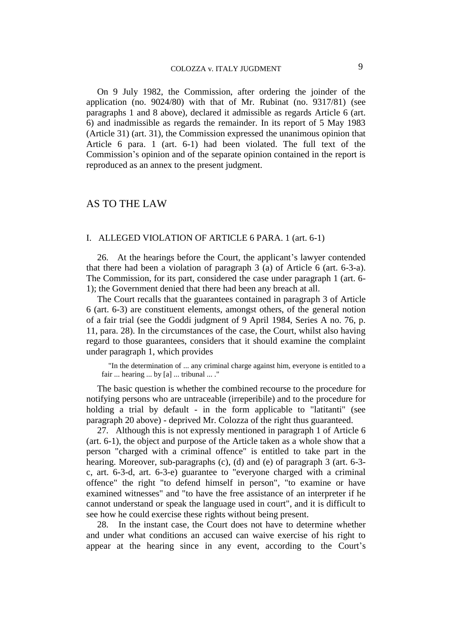On 9 July 1982, the Commission, after ordering the joinder of the application (no. 9024/80) with that of Mr. Rubinat (no. 9317/81) (see paragraphs 1 and 8 above), declared it admissible as regards Article 6 (art. 6) and inadmissible as regards the remainder. In its report of 5 May 1983 (Article 31) (art. 31), the Commission expressed the unanimous opinion that Article 6 para. 1 (art. 6-1) had been violated. The full text of the Commission's opinion and of the separate opinion contained in the report is reproduced as an annex to the present judgment.

## AS TO THE LAW

#### I. ALLEGED VIOLATION OF ARTICLE 6 PARA. 1 (art. 6-1)

26. At the hearings before the Court, the applicant's lawyer contended that there had been a violation of paragraph 3 (a) of Article 6 (art. 6-3-a). The Commission, for its part, considered the case under paragraph 1 (art. 6- 1); the Government denied that there had been any breach at all.

The Court recalls that the guarantees contained in paragraph 3 of Article 6 (art. 6-3) are constituent elements, amongst others, of the general notion of a fair trial (see the Goddi judgment of 9 April 1984, Series A no. 76, p. 11, para. 28). In the circumstances of the case, the Court, whilst also having regard to those guarantees, considers that it should examine the complaint under paragraph 1, which provides

"In the determination of ... any criminal charge against him, everyone is entitled to a fair ... hearing ... by [a] ... tribunal ... ."

The basic question is whether the combined recourse to the procedure for notifying persons who are untraceable (irreperibile) and to the procedure for holding a trial by default - in the form applicable to "latitanti" (see paragraph 20 above) - deprived Mr. Colozza of the right thus guaranteed.

27. Although this is not expressly mentioned in paragraph 1 of Article 6 (art. 6-1), the object and purpose of the Article taken as a whole show that a person "charged with a criminal offence" is entitled to take part in the hearing. Moreover, sub-paragraphs (c), (d) and (e) of paragraph 3 (art. 6-3 c, art. 6-3-d, art. 6-3-e) guarantee to "everyone charged with a criminal offence" the right "to defend himself in person", "to examine or have examined witnesses" and "to have the free assistance of an interpreter if he cannot understand or speak the language used in court", and it is difficult to see how he could exercise these rights without being present.

28. In the instant case, the Court does not have to determine whether and under what conditions an accused can waive exercise of his right to appear at the hearing since in any event, according to the Court's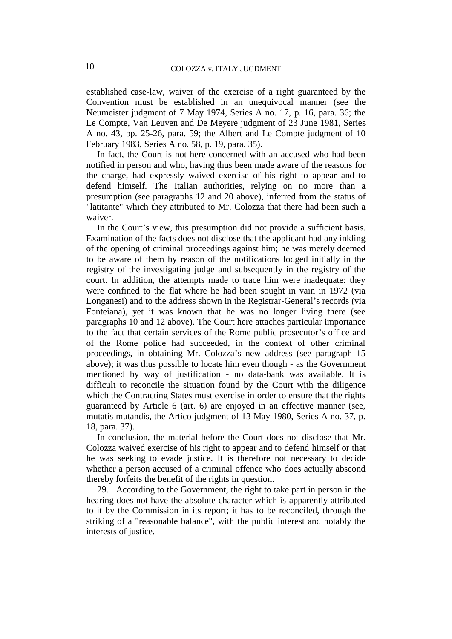established case-law, waiver of the exercise of a right guaranteed by the Convention must be established in an unequivocal manner (see the Neumeister judgment of 7 May 1974, Series A no. 17, p. 16, para. 36; the Le Compte, Van Leuven and De Meyere judgment of 23 June 1981, Series A no. 43, pp. 25-26, para. 59; the Albert and Le Compte judgment of 10 February 1983, Series A no. 58, p. 19, para. 35).

In fact, the Court is not here concerned with an accused who had been notified in person and who, having thus been made aware of the reasons for the charge, had expressly waived exercise of his right to appear and to defend himself. The Italian authorities, relying on no more than a presumption (see paragraphs 12 and 20 above), inferred from the status of "latitante" which they attributed to Mr. Colozza that there had been such a waiver.

In the Court's view, this presumption did not provide a sufficient basis. Examination of the facts does not disclose that the applicant had any inkling of the opening of criminal proceedings against him; he was merely deemed to be aware of them by reason of the notifications lodged initially in the registry of the investigating judge and subsequently in the registry of the court. In addition, the attempts made to trace him were inadequate: they were confined to the flat where he had been sought in vain in 1972 (via Longanesi) and to the address shown in the Registrar-General's records (via Fonteiana), yet it was known that he was no longer living there (see paragraphs 10 and 12 above). The Court here attaches particular importance to the fact that certain services of the Rome public prosecutor's office and of the Rome police had succeeded, in the context of other criminal proceedings, in obtaining Mr. Colozza's new address (see paragraph 15 above); it was thus possible to locate him even though - as the Government mentioned by way of justification - no data-bank was available. It is difficult to reconcile the situation found by the Court with the diligence which the Contracting States must exercise in order to ensure that the rights guaranteed by Article 6 (art. 6) are enjoyed in an effective manner (see, mutatis mutandis, the Artico judgment of 13 May 1980, Series A no. 37, p. 18, para. 37).

In conclusion, the material before the Court does not disclose that Mr. Colozza waived exercise of his right to appear and to defend himself or that he was seeking to evade justice. It is therefore not necessary to decide whether a person accused of a criminal offence who does actually abscond thereby forfeits the benefit of the rights in question.

29. According to the Government, the right to take part in person in the hearing does not have the absolute character which is apparently attributed to it by the Commission in its report; it has to be reconciled, through the striking of a "reasonable balance", with the public interest and notably the interests of justice.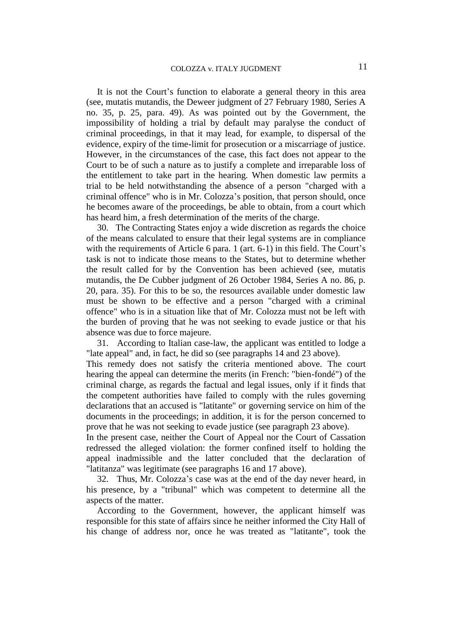It is not the Court's function to elaborate a general theory in this area (see, mutatis mutandis, the Deweer judgment of 27 February 1980, Series A no. 35, p. 25, para. 49). As was pointed out by the Government, the impossibility of holding a trial by default may paralyse the conduct of criminal proceedings, in that it may lead, for example, to dispersal of the evidence, expiry of the time-limit for prosecution or a miscarriage of justice. However, in the circumstances of the case, this fact does not appear to the Court to be of such a nature as to justify a complete and irreparable loss of the entitlement to take part in the hearing. When domestic law permits a trial to be held notwithstanding the absence of a person "charged with a criminal offence" who is in Mr. Colozza's position, that person should, once he becomes aware of the proceedings, be able to obtain, from a court which has heard him, a fresh determination of the merits of the charge.

30. The Contracting States enjoy a wide discretion as regards the choice of the means calculated to ensure that their legal systems are in compliance with the requirements of Article 6 para. 1 (art. 6-1) in this field. The Court's task is not to indicate those means to the States, but to determine whether the result called for by the Convention has been achieved (see, mutatis mutandis, the De Cubber judgment of 26 October 1984, Series A no. 86, p. 20, para. 35). For this to be so, the resources available under domestic law must be shown to be effective and a person "charged with a criminal offence" who is in a situation like that of Mr. Colozza must not be left with the burden of proving that he was not seeking to evade justice or that his absence was due to force majeure.

31. According to Italian case-law, the applicant was entitled to lodge a "late appeal" and, in fact, he did so (see paragraphs 14 and 23 above).

This remedy does not satisfy the criteria mentioned above. The court hearing the appeal can determine the merits (in French: "bien-fondé") of the criminal charge, as regards the factual and legal issues, only if it finds that the competent authorities have failed to comply with the rules governing declarations that an accused is "latitante" or governing service on him of the documents in the proceedings; in addition, it is for the person concerned to prove that he was not seeking to evade justice (see paragraph 23 above).

In the present case, neither the Court of Appeal nor the Court of Cassation redressed the alleged violation: the former confined itself to holding the appeal inadmissible and the latter concluded that the declaration of "latitanza" was legitimate (see paragraphs 16 and 17 above).

32. Thus, Mr. Colozza's case was at the end of the day never heard, in his presence, by a "tribunal" which was competent to determine all the aspects of the matter.

According to the Government, however, the applicant himself was responsible for this state of affairs since he neither informed the City Hall of his change of address nor, once he was treated as "latitante", took the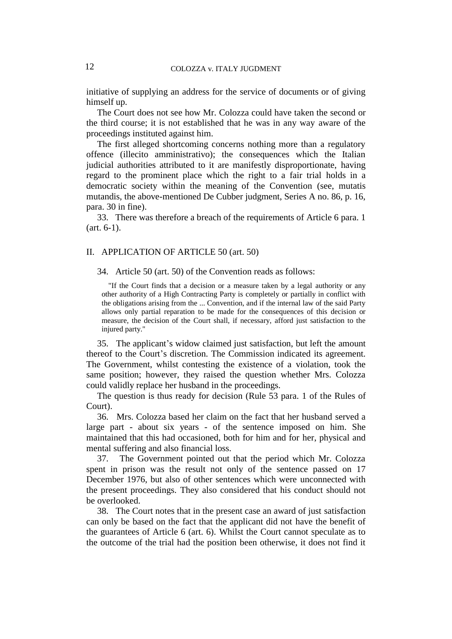initiative of supplying an address for the service of documents or of giving himself up.

The Court does not see how Mr. Colozza could have taken the second or the third course; it is not established that he was in any way aware of the proceedings instituted against him.

The first alleged shortcoming concerns nothing more than a regulatory offence (illecito amministrativo); the consequences which the Italian judicial authorities attributed to it are manifestly disproportionate, having regard to the prominent place which the right to a fair trial holds in a democratic society within the meaning of the Convention (see, mutatis mutandis, the above-mentioned De Cubber judgment, Series A no. 86, p. 16, para. 30 in fine).

33. There was therefore a breach of the requirements of Article 6 para. 1 (art. 6-1).

#### II. APPLICATION OF ARTICLE 50 (art. 50)

34. Article 50 (art. 50) of the Convention reads as follows:

"If the Court finds that a decision or a measure taken by a legal authority or any other authority of a High Contracting Party is completely or partially in conflict with the obligations arising from the ... Convention, and if the internal law of the said Party allows only partial reparation to be made for the consequences of this decision or measure, the decision of the Court shall, if necessary, afford just satisfaction to the injured party."

35. The applicant's widow claimed just satisfaction, but left the amount thereof to the Court's discretion. The Commission indicated its agreement. The Government, whilst contesting the existence of a violation, took the same position; however, they raised the question whether Mrs. Colozza could validly replace her husband in the proceedings.

The question is thus ready for decision (Rule 53 para. 1 of the Rules of Court).

36. Mrs. Colozza based her claim on the fact that her husband served a large part - about six years - of the sentence imposed on him. She maintained that this had occasioned, both for him and for her, physical and mental suffering and also financial loss.

37. The Government pointed out that the period which Mr. Colozza spent in prison was the result not only of the sentence passed on 17 December 1976, but also of other sentences which were unconnected with the present proceedings. They also considered that his conduct should not be overlooked.

38. The Court notes that in the present case an award of just satisfaction can only be based on the fact that the applicant did not have the benefit of the guarantees of Article 6 (art. 6). Whilst the Court cannot speculate as to the outcome of the trial had the position been otherwise, it does not find it